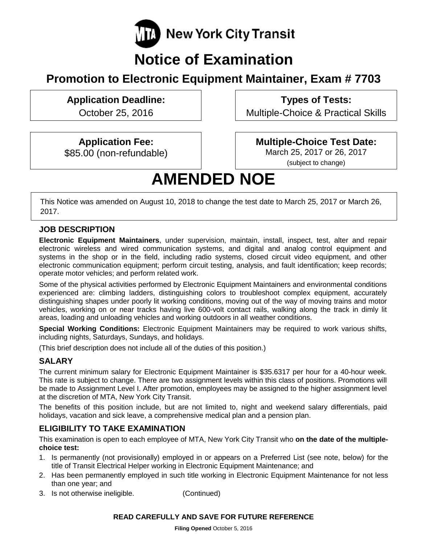

## **Notice of Examination**

## **Promotion to Electronic Equipment Maintainer, Exam # 7703**

## **Application Deadline:**

October 25, 2016

**Types of Tests:** 

Multiple-Choice & Practical Skills

## **Application Fee:**

\$85.00 (non-refundable)

### **Multiple-Choice Test Date:**

March 25, 2017 or 26, 2017 (subject to change)

# **AMENDED NOE**

This Notice was amended on August 10, 2018 to change the test date to March 25, 2017 or March 26, 2017.

#### **JOB DESCRIPTION**

**Electronic Equipment Maintainers**, under supervision, maintain, install, inspect, test, alter and repair electronic wireless and wired communication systems, and digital and analog control equipment and systems in the shop or in the field, including radio systems, closed circuit video equipment, and other electronic communication equipment; perform circuit testing, analysis, and fault identification; keep records; operate motor vehicles; and perform related work.

Some of the physical activities performed by Electronic Equipment Maintainers and environmental conditions experienced are: climbing ladders, distinguishing colors to troubleshoot complex equipment, accurately distinguishing shapes under poorly lit working conditions, moving out of the way of moving trains and motor vehicles, working on or near tracks having live 600-volt contact rails, walking along the track in dimly lit areas, loading and unloading vehicles and working outdoors in all weather conditions.

**Special Working Conditions:** Electronic Equipment Maintainers may be required to work various shifts, including nights, Saturdays, Sundays, and holidays.

(This brief description does not include all of the duties of this position.)

### **SALARY**

The current minimum salary for Electronic Equipment Maintainer is \$35.6317 per hour for a 40-hour week. This rate is subject to change. There are two assignment levels within this class of positions. Promotions will be made to Assignment Level I. After promotion, employees may be assigned to the higher assignment level at the discretion of MTA, New York City Transit.

The benefits of this position include, but are not limited to, night and weekend salary differentials, paid holidays, vacation and sick leave, a comprehensive medical plan and a pension plan.

#### **ELIGIBILITY TO TAKE EXAMINATION**

This examination is open to each employee of MTA, New York City Transit who **on the date of the multiplechoice test:** 

- 1. Is permanently (not provisionally) employed in or appears on a Preferred List (see note, below) for the title of Transit Electrical Helper working in Electronic Equipment Maintenance; and
- 2. Has been permanently employed in such title working in Electronic Equipment Maintenance for not less than one year; and
- 3. Is not otherwise ineligible. (Continued)

#### **READ CAREFULLY AND SAVE FOR FUTURE REFERENCE**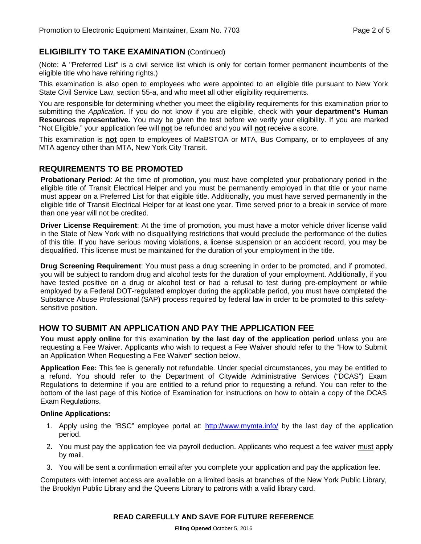#### **ELIGIBILITY TO TAKE EXAMINATION** (Continued)

(Note: A "Preferred List" is a civil service list which is only for certain former permanent incumbents of the eligible title who have rehiring rights.)

This examination is also open to employees who were appointed to an eligible title pursuant to New York State Civil Service Law, section 55-a, and who meet all other eligibility requirements.

You are responsible for determining whether you meet the eligibility requirements for this examination prior to submitting the *Application*. If you do not know if you are eligible, check with **your department's Human Resources representative.** You may be given the test before we verify your eligibility. If you are marked "Not Eligible," your application fee will **not** be refunded and you will **not** receive a score.

This examination is **not** open to employees of MaBSTOA or MTA, Bus Company, or to employees of any MTA agency other than MTA, New York City Transit.

#### **REQUIREMENTS TO BE PROMOTED**

**Probationary Period**: At the time of promotion, you must have completed your probationary period in the eligible title of Transit Electrical Helper and you must be permanently employed in that title or your name must appear on a Preferred List for that eligible title. Additionally, you must have served permanently in the eligible title of Transit Electrical Helper for at least one year. Time served prior to a break in service of more than one year will not be credited.

**Driver License Requirement**: At the time of promotion, you must have a motor vehicle driver license valid in the State of New York with no disqualifying restrictions that would preclude the performance of the duties of this title. If you have serious moving violations, a license suspension or an accident record, you may be disqualified. This license must be maintained for the duration of your employment in the title.

**Drug Screening Requirement**: You must pass a drug screening in order to be promoted, and if promoted, you will be subject to random drug and alcohol tests for the duration of your employment. Additionally, if you have tested positive on a drug or alcohol test or had a refusal to test during pre-employment or while employed by a Federal DOT-regulated employer during the applicable period, you must have completed the Substance Abuse Professional (SAP) process required by federal law in order to be promoted to this safetysensitive position.

#### **HOW TO SUBMIT AN APPLICATION AND PAY THE APPLICATION FEE**

**You must apply online** for this examination **by the last day of the application period** unless you are requesting a Fee Waiver. Applicants who wish to request a Fee Waiver should refer to the "How to Submit an Application When Requesting a Fee Waiver" section below.

**Application Fee:** This fee is generally not refundable. Under special circumstances, you may be entitled to a refund. You should refer to the Department of Citywide Administrative Services ("DCAS") Exam Regulations to determine if you are entitled to a refund prior to requesting a refund. You can refer to the bottom of the last page of this Notice of Examination for instructions on how to obtain a copy of the DCAS Exam Regulations.

#### **Online Applications:**

- 1. Apply using the "BSC" employee portal at:<http://www.mymta.info/> by the last day of the application period.
- 2. You must pay the application fee via payroll deduction. Applicants who request a fee waiver must apply by mail.
- 3. You will be sent a confirmation email after you complete your application and pay the application fee.

Computers with internet access are available on a limited basis at branches of the New York Public Library, the Brooklyn Public Library and the Queens Library to patrons with a valid library card.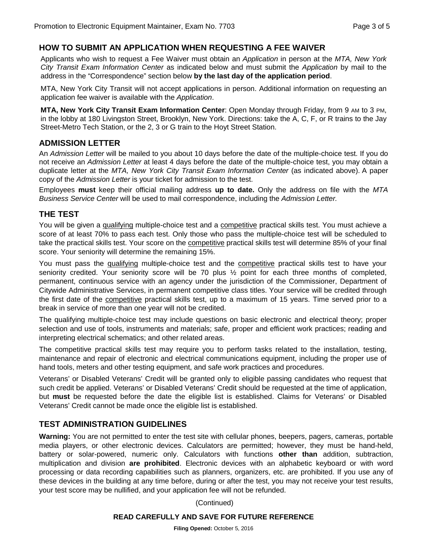#### **HOW TO SUBMIT AN APPLICATION WHEN REQUESTING A FEE WAIVER**

Applicants who wish to request a Fee Waiver must obtain an *Application* in person at the *MTA, New York City Transit Exam Information Center* as indicated below and must submit the *Application* by mail to the address in the "Correspondence" section below **by the last day of the application period**.

MTA, New York City Transit will not accept applications in person. Additional information on requesting an application fee waiver is available with the *Application*.

**MTA, New York City Transit Exam Information Center**: Open Monday through Friday, from 9 AM to 3 PM, in the lobby at 180 Livingston Street, Brooklyn, New York. Directions: take the A, C, F, or R trains to the Jay Street-Metro Tech Station, or the 2, 3 or G train to the Hoyt Street Station.

#### **ADMISSION LETTER**

An *Admission Letter* will be mailed to you about 10 days before the date of the multiple-choice test. If you do not receive an *Admission Letter* at least 4 days before the date of the multiple-choice test, you may obtain a duplicate letter at the *MTA, New York City Transit Exam Information Center* (as indicated above). A paper copy of the *Admission Letter* is your ticket for admission to the test.

Employees **must** keep their official mailing address **up to date.** Only the address on file with the *MTA Business Service Center* will be used to mail correspondence, including the *Admission Letter.*

#### **THE TEST**

You will be given a qualifying multiple-choice test and a competitive practical skills test. You must achieve a score of at least 70% to pass each test. Only those who pass the multiple-choice test will be scheduled to take the practical skills test. Your score on the competitive practical skills test will determine 85% of your final score. Your seniority will determine the remaining 15%.

You must pass the qualifying multiple-choice test and the competitive practical skills test to have your seniority credited. Your seniority score will be 70 plus ½ point for each three months of completed, permanent, continuous service with an agency under the jurisdiction of the Commissioner, Department of Citywide Administrative Services, in permanent competitive class titles. Your service will be credited through the first date of the competitive practical skills test, up to a maximum of 15 years. Time served prior to a break in service of more than one year will not be credited.

The qualifying multiple-choice test may include questions on basic electronic and electrical theory; proper selection and use of tools, instruments and materials; safe, proper and efficient work practices; reading and interpreting electrical schematics; and other related areas.

The competitive practical skills test may require you to perform tasks related to the installation, testing, maintenance and repair of electronic and electrical communications equipment, including the proper use of hand tools, meters and other testing equipment, and safe work practices and procedures.

Veterans' or Disabled Veterans' Credit will be granted only to eligible passing candidates who request that such credit be applied. Veterans' or Disabled Veterans' Credit should be requested at the time of application, but **must** be requested before the date the eligible list is established. Claims for Veterans' or Disabled Veterans' Credit cannot be made once the eligible list is established.

#### **TEST ADMINISTRATION GUIDELINES**

**Warning:** You are not permitted to enter the test site with cellular phones, beepers, pagers, cameras, portable media players, or other electronic devices. Calculators are permitted; however, they must be hand-held, battery or solar-powered, numeric only. Calculators with functions **other than** addition, subtraction, multiplication and division **are prohibited**. Electronic devices with an alphabetic keyboard or with word processing or data recording capabilities such as planners, organizers, etc. are prohibited. If you use any of these devices in the building at any time before, during or after the test, you may not receive your test results, your test score may be nullified, and your application fee will not be refunded.

(Continued)

#### **READ CAREFULLY AND SAVE FOR FUTURE REFERENCE**

**Filing Opened:** October 5, 2016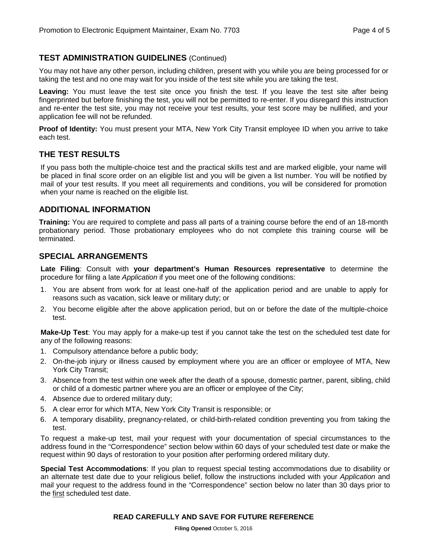#### **TEST ADMINISTRATION GUIDELINES** (Continued)

You may not have any other person, including children, present with you while you are being processed for or taking the test and no one may wait for you inside of the test site while you are taking the test.

**Leaving:** You must leave the test site once you finish the test. If you leave the test site after being fingerprinted but before finishing the test, you will not be permitted to re-enter. If you disregard this instruction and re-enter the test site, you may not receive your test results, your test score may be nullified, and your application fee will not be refunded.

**Proof of Identity:** You must present your MTA, New York City Transit employee ID when you arrive to take each test.

#### **THE TEST RESULTS**

If you pass both the multiple-choice test and the practical skills test and are marked eligible, your name will be placed in final score order on an eligible list and you will be given a list number. You will be notified by mail of your test results. If you meet all requirements and conditions, you will be considered for promotion when your name is reached on the eligible list.

#### **ADDITIONAL INFORMATION**

**Training:** You are required to complete and pass all parts of a training course before the end of an 18-month probationary period. Those probationary employees who do not complete this training course will be terminated.

#### **SPECIAL ARRANGEMENTS**

**Late Filing**: Consult with **your department's Human Resources representative** to determine the procedure for filing a late *Application* if you meet one of the following conditions:

- 1. You are absent from work for at least one-half of the application period and are unable to apply for reasons such as vacation, sick leave or military duty; or
- 2. You become eligible after the above application period, but on or before the date of the multiple-choice test.

**Make-Up Test**: You may apply for a make-up test if you cannot take the test on the scheduled test date for any of the following reasons:

- 1. Compulsory attendance before a public body;
- 2. On-the-job injury or illness caused by employment where you are an officer or employee of MTA, New York City Transit;
- 3. Absence from the test within one week after the death of a spouse, domestic partner, parent, sibling, child or child of a domestic partner where you are an officer or employee of the City;
- 4. Absence due to ordered military duty;
- 5. A clear error for which MTA, New York City Transit is responsible; or
- 6. A temporary disability, pregnancy-related, or child-birth-related condition preventing you from taking the test.

To request a make-up test, mail your request with your documentation of special circumstances to the address found in the "Correspondence" section below within 60 days of your scheduled test date or make the request within 90 days of restoration to your position after performing ordered military duty.

**Special Test Accommodations**: If you plan to request special testing accommodations due to disability or an alternate test date due to your religious belief, follow the instructions included with your *Application* and mail your request to the address found in the "Correspondence" section below no later than 30 days prior to the first scheduled test date.

#### **READ CAREFULLY AND SAVE FOR FUTURE REFERENCE**